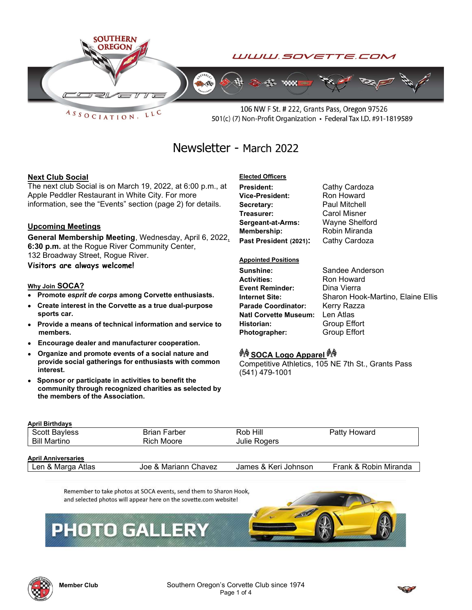

 $ASSOCIATION$ LLC

106 NW F St. # 222, Grants Pass, Oregon 97526 501(c) (7) Non-Profit Organization • Federal Tax I.D. #91-1819589

# Newsletter - March 2022

## Next Club Social

The next club Social is on March 19, 2022, at 6:00 p.m., at Apple Peddler Restaurant in White City. For more information, see the "Events" section (page 2) for details.

#### Upcoming Meetings

General Membership Meeting, Wednesday, April 6, 2022, 6:30 p.m. at the Rogue River Community Center, 132 Broadway Street, Rogue River.

Visitors are always welcome!

#### Why Join SOCA?

- Promote esprit de corps among Corvette enthusiasts.
- Create interest in the Corvette as a true dual-purpose sports car.
- Provide a means of technical information and service to members.
- Encourage dealer and manufacturer cooperation.
- Organize and promote events of a social nature and provide social gatherings for enthusiasts with common interest.
- Sponsor or participate in activities to benefit the community through recognized charities as selected by the members of the Association.

# Elected Officers

President: Cathy Cardoza Vice-President: Ron Howard Secretary: Paul Mitchell Treasurer: Carol Misner Sergeant-at-Arms: Wayne Shelford Membership: Robin Miranda Past President (2021): Cathy Cardoza

#### Appointed Positions

Sunshine: Sandee Anderson **Activities:** Ron Howard<br> **Event Reminder:** Dina Vierra Event Reminder: Parade Coordinator: Kerry Razza Natl Corvette Museum: Len Atlas Historian: Group Effort Photographer: Group Effort

Internet Site: Sharon Hook-Martino, Elaine Ellis

# *<sup>ইাৰু</sup>* SOCA Logo Apparel <sup>*ইা*ৰি</sup>

Competitive Athletics, 105 NE 7th St., Grants Pass (541) 479-1001

| <b>April Birthdays</b>     |                      |                      |                       |  |
|----------------------------|----------------------|----------------------|-----------------------|--|
| <b>Scott Bayless</b>       | <b>Brian Farber</b>  | Rob Hill             | Patty Howard          |  |
| Bill Martino               | Rich Moore           | Julie Rogers         |                       |  |
|                            |                      |                      |                       |  |
| <b>April Anniversaries</b> |                      |                      |                       |  |
| Len & Marga Atlas          | Joe & Mariann Chavez | James & Keri Johnson | Frank & Robin Miranda |  |
|                            |                      |                      |                       |  |

Remember to take photos at SOCA events, send them to Sharon Hook, and selected photos will appear here on the sovette.com website!

# **PHOTO GALLERY**





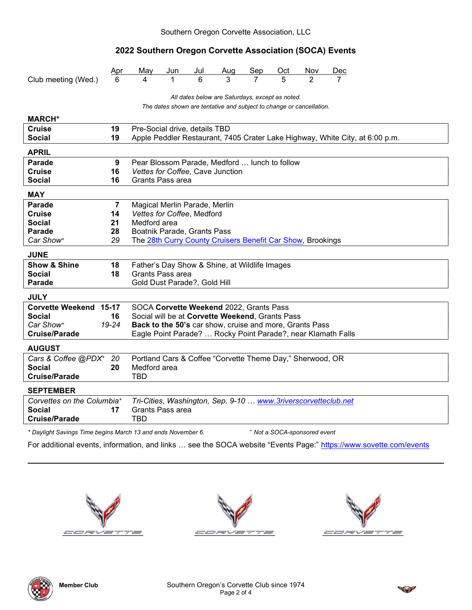# 2022 Southern Oregon Corvette Association (SOCA) Events

|                                                 | <u>Apr</u>                                                           | May                                                                          | Jun                           | Jul | Aug                                                            | Sep | Oct | Nov | <u>Dec</u> |  |  |  |
|-------------------------------------------------|----------------------------------------------------------------------|------------------------------------------------------------------------------|-------------------------------|-----|----------------------------------------------------------------|-----|-----|-----|------------|--|--|--|
| Club meeting (Wed.)                             |                                                                      | 4                                                                            |                               | 6   |                                                                |     | 5   |     |            |  |  |  |
|                                                 |                                                                      |                                                                              |                               |     |                                                                |     |     |     |            |  |  |  |
| All dates below are Saturdays, except as noted. |                                                                      |                                                                              |                               |     |                                                                |     |     |     |            |  |  |  |
|                                                 | The dates shown are tentative and subject to change or cancellation. |                                                                              |                               |     |                                                                |     |     |     |            |  |  |  |
| <b>MARCH*</b>                                   |                                                                      |                                                                              |                               |     |                                                                |     |     |     |            |  |  |  |
| <b>Cruise</b>                                   | 19                                                                   | Pre-Social drive, details TBD                                                |                               |     |                                                                |     |     |     |            |  |  |  |
| <b>Social</b>                                   | 19                                                                   | Apple Peddler Restaurant, 7405 Crater Lake Highway, White City, at 6:00 p.m. |                               |     |                                                                |     |     |     |            |  |  |  |
| <b>APRIL</b>                                    |                                                                      |                                                                              |                               |     |                                                                |     |     |     |            |  |  |  |
| <b>Parade</b>                                   | 9                                                                    | Pear Blossom Parade, Medford  lunch to follow                                |                               |     |                                                                |     |     |     |            |  |  |  |
| <b>Cruise</b>                                   | 16                                                                   | Vettes for Coffee, Cave Junction                                             |                               |     |                                                                |     |     |     |            |  |  |  |
| <b>Social</b>                                   | 16                                                                   |                                                                              | Grants Pass area              |     |                                                                |     |     |     |            |  |  |  |
| <b>MAY</b>                                      |                                                                      |                                                                              |                               |     |                                                                |     |     |     |            |  |  |  |
| <b>Parade</b>                                   | $\overline{7}$                                                       |                                                                              | Magical Merlin Parade, Merlin |     |                                                                |     |     |     |            |  |  |  |
| <b>Cruise</b>                                   | 14                                                                   |                                                                              | Vettes for Coffee, Medford    |     |                                                                |     |     |     |            |  |  |  |
| <b>Social</b>                                   | 21                                                                   | Medford area                                                                 |                               |     |                                                                |     |     |     |            |  |  |  |
| <b>Parade</b>                                   | 28                                                                   | Boatnik Parade, Grants Pass                                                  |                               |     |                                                                |     |     |     |            |  |  |  |
| Car Show <sup>+</sup>                           | 29                                                                   | The 28th Curry County Cruisers Benefit Car Show, Brookings                   |                               |     |                                                                |     |     |     |            |  |  |  |
| <b>JUNE</b>                                     |                                                                      |                                                                              |                               |     |                                                                |     |     |     |            |  |  |  |
| <b>Show &amp; Shine</b>                         | 18                                                                   | Father's Day Show & Shine, at Wildlife Images                                |                               |     |                                                                |     |     |     |            |  |  |  |
| <b>Social</b>                                   | 18                                                                   | Grants Pass area                                                             |                               |     |                                                                |     |     |     |            |  |  |  |
| <b>Parade</b>                                   |                                                                      | Gold Dust Parade?, Gold Hill                                                 |                               |     |                                                                |     |     |     |            |  |  |  |
| <b>JULY</b>                                     |                                                                      |                                                                              |                               |     |                                                                |     |     |     |            |  |  |  |
| Corvette Weekend 15-17                          |                                                                      | SOCA Corvette Weekend 2022, Grants Pass                                      |                               |     |                                                                |     |     |     |            |  |  |  |
| <b>Social</b>                                   | 16                                                                   | Social will be at Corvette Weekend, Grants Pass                              |                               |     |                                                                |     |     |     |            |  |  |  |
| Car Show <sup>+</sup>                           | $19 - 24$                                                            | Back to the 50's car show, cruise and more, Grants Pass                      |                               |     |                                                                |     |     |     |            |  |  |  |
| <b>Cruise/Parade</b>                            |                                                                      |                                                                              |                               |     | Eagle Point Parade?  Rocky Point Parade?, near Klamath Falls   |     |     |     |            |  |  |  |
| <b>AUGUST</b>                                   |                                                                      |                                                                              |                               |     |                                                                |     |     |     |            |  |  |  |
| Cars & Coffee @PDX+ 20                          |                                                                      | Portland Cars & Coffee "Corvette Theme Day," Sherwood, OR                    |                               |     |                                                                |     |     |     |            |  |  |  |
| <b>Social</b>                                   | 20                                                                   | Medford area                                                                 |                               |     |                                                                |     |     |     |            |  |  |  |
| <b>Cruise/Parade</b>                            |                                                                      | TBD                                                                          |                               |     |                                                                |     |     |     |            |  |  |  |
| <b>SEPTEMBER</b>                                |                                                                      |                                                                              |                               |     |                                                                |     |     |     |            |  |  |  |
| Corvettes on the Columbia <sup>+</sup>          |                                                                      |                                                                              |                               |     | Tri-Cities, Washington, Sep. 9-10  www.3riverscorvetteclub.net |     |     |     |            |  |  |  |
| <b>Social</b>                                   | 17                                                                   | Grants Pass area                                                             |                               |     |                                                                |     |     |     |            |  |  |  |
| <b>Cruise/Parade</b>                            |                                                                      | <b>TBD</b>                                                                   |                               |     |                                                                |     |     |     |            |  |  |  |
|                                                 |                                                                      |                                                                              |                               |     |                                                                |     |     |     |            |  |  |  |

\* Daylight Savings Time begins March 13 and ends November 6. <sup>+</sup>

Not a SOCA-sponsored event

For additional events, information, and links ... see the SOCA website "Events Page:" https://www.sovette.com/events







 $\overline{a}$ 

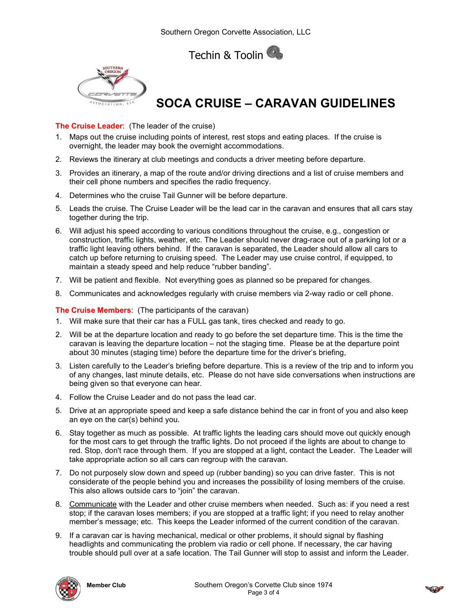Techin & Toolin



# SOCA CRUISE – CARAVAN GUIDELINES

### The Cruise Leader: (The leader of the cruise)

- 1. Maps out the cruise including points of interest, rest stops and eating places. If the cruise is overnight, the leader may book the overnight accommodations.
- 2. Reviews the itinerary at club meetings and conducts a driver meeting before departure.
- 3. Provides an itinerary, a map of the route and/or driving directions and a list of cruise members and their cell phone numbers and specifies the radio frequency.
- 4. Determines who the cruise Tail Gunner will be before departure.
- 5. Leads the cruise. The Cruise Leader will be the lead car in the caravan and ensures that all cars stay together during the trip.
- 6. Will adjust his speed according to various conditions throughout the cruise, e.g., congestion or construction, traffic lights, weather, etc. The Leader should never drag-race out of a parking lot or a traffic light leaving others behind. If the caravan is separated, the Leader should allow all cars to catch up before returning to cruising speed. The Leader may use cruise control, if equipped, to maintain a steady speed and help reduce "rubber banding".
- 7. Will be patient and flexible. Not everything goes as planned so be prepared for changes.
- 8. Communicates and acknowledges regularly with cruise members via 2-way radio or cell phone.

The Cruise Members: (The participants of the caravan)

- 1. Will make sure that their car has a FULL gas tank, tires checked and ready to go.
- 2. Will be at the departure location and ready to go before the set departure time. This is the time the caravan is leaving the departure location – not the staging time. Please be at the departure point about 30 minutes (staging time) before the departure time for the driver's briefing,
- 3. Listen carefully to the Leader's briefing before departure. This is a review of the trip and to inform you of any changes, last minute details, etc. Please do not have side conversations when instructions are being given so that everyone can hear.
- 4. Follow the Cruise Leader and do not pass the lead car.
- 5. Drive at an appropriate speed and keep a safe distance behind the car in front of you and also keep an eye on the car(s) behind you.
- 6. Stay together as much as possible. At traffic lights the leading cars should move out quickly enough for the most cars to get through the traffic lights. Do not proceed if the lights are about to change to red. Stop, don't race through them. If you are stopped at a light, contact the Leader. The Leader will take appropriate action so all cars can regroup with the caravan.
- 7. Do not purposely slow down and speed up (rubber banding) so you can drive faster. This is not considerate of the people behind you and increases the possibility of losing members of the cruise. This also allows outside cars to "join" the caravan.
- 8. Communicate with the Leader and other cruise members when needed. Such as: if you need a rest stop; if the caravan loses members; if you are stopped at a traffic light; if you need to relay another member's message; etc. This keeps the Leader informed of the current condition of the caravan.
- 9. If a caravan car is having mechanical, medical or other problems, it should signal by flashing headlights and communicating the problem via radio or cell phone. If necessary, the car having trouble should pull over at a safe location. The Tail Gunner will stop to assist and inform the Leader.